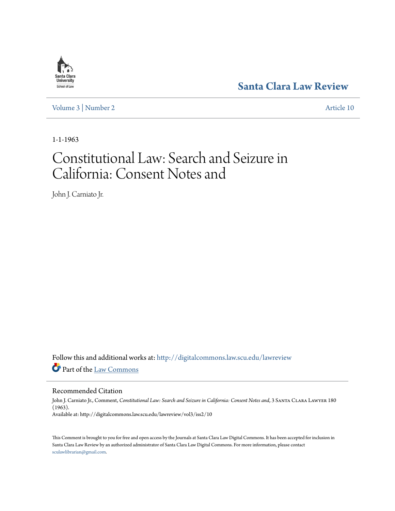

**[Santa Clara Law Review](http://digitalcommons.law.scu.edu/lawreview?utm_source=digitalcommons.law.scu.edu%2Flawreview%2Fvol3%2Fiss2%2F10&utm_medium=PDF&utm_campaign=PDFCoverPages)**

[Volume 3](http://digitalcommons.law.scu.edu/lawreview/vol3?utm_source=digitalcommons.law.scu.edu%2Flawreview%2Fvol3%2Fiss2%2F10&utm_medium=PDF&utm_campaign=PDFCoverPages) | [Number 2](http://digitalcommons.law.scu.edu/lawreview/vol3/iss2?utm_source=digitalcommons.law.scu.edu%2Flawreview%2Fvol3%2Fiss2%2F10&utm_medium=PDF&utm_campaign=PDFCoverPages) [Article 10](http://digitalcommons.law.scu.edu/lawreview/vol3/iss2/10?utm_source=digitalcommons.law.scu.edu%2Flawreview%2Fvol3%2Fiss2%2F10&utm_medium=PDF&utm_campaign=PDFCoverPages)

1-1-1963

## Constitutional Law: Search and Seizure in California: Consent Notes and

John J. Carniato Jr.

Follow this and additional works at: [http://digitalcommons.law.scu.edu/lawreview](http://digitalcommons.law.scu.edu/lawreview?utm_source=digitalcommons.law.scu.edu%2Flawreview%2Fvol3%2Fiss2%2F10&utm_medium=PDF&utm_campaign=PDFCoverPages) Part of the [Law Commons](http://network.bepress.com/hgg/discipline/578?utm_source=digitalcommons.law.scu.edu%2Flawreview%2Fvol3%2Fiss2%2F10&utm_medium=PDF&utm_campaign=PDFCoverPages)

Recommended Citation

John J. Carniato Jr., Comment, *Constitutional Law: Search and Seizure in California: Consent Notes and*, 3 Santa Clara Lawyer 180 (1963). Available at: http://digitalcommons.law.scu.edu/lawreview/vol3/iss2/10

This Comment is brought to you for free and open access by the Journals at Santa Clara Law Digital Commons. It has been accepted for inclusion in Santa Clara Law Review by an authorized administrator of Santa Clara Law Digital Commons. For more information, please contact [sculawlibrarian@gmail.com](mailto:sculawlibrarian@gmail.com).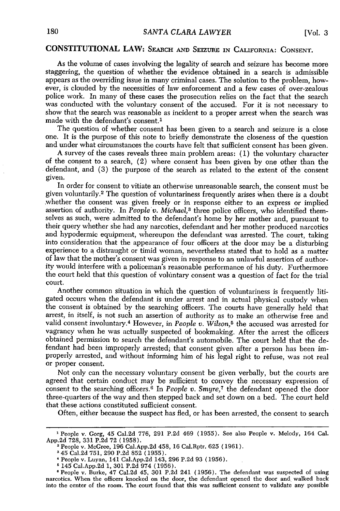## **CONSTITUTIONAL LAW:** SEARCH **AND** SEIZURE IN CALIFORNIA: **CONSENT.**

As the volume of cases involving the legality of search and seizure has become more staggering, the question of whether the evidence obtained in a search is admissible appears as the overriding issue in many criminal cases. The solution to the problem, however, is clouded **by** the necessities of law enforcement and a few cases of over-zealous police work. In many of these cases the prosecution relies on the fact that the search was conducted with the voluntary consent of the accused. For it is not necessary to show that the search was reasonable as incident to a proper arrest when the search was made with the defendant's consent.<sup>1</sup>

The question of whether consent has been given to a search and seizure is a close one. It is the purpose of this note to briefly demonstrate the closeness of the question and under what circumstances the courts have felt that sufficient consent has been given.

A survey of the cases reveals three main problem areas: (1) the voluntary character of the consent to a search, (2) where consent has been given by one other than the defendant, and (3) the purpose of the search as related to the extent of the consent given.

In order for consent to vitiate an otherwise unreasonable search, the consent must be given voluntarily.<sup>2</sup> The question of voluntariness frequently arises when there is a doubt whether the consent was given freely or in response either to an express or implied assertion of authority. In *People'v. Michael*,<sup>3</sup> three police officers, who identified themselves as such, were admitted to the defendant's home by her mother and, pursuant to their query whether she had any narcotics, defendant and her mother produced narcotics and hypodermic equipment, whereupon the defendant was arrested. The court, taking into consideration that the appearance of four officers at the door may be a disturbing experience to a distraught or timid woman, nevertheless stated that to hold as a matter of law that the mother's consent was given in response to an unlawful assertion of authority would interfere with a policeman's reasonable performance of his duty. Furthermore the court held that this question of voluntary consent was a question of fact for the trial court.

Another common situation in which the question of voluntariness is frequently litigated occurs when the defendant is under arrest and in actual physical custody when the consent is obtained by the searching officers. The courts have generally held that arrest, in itself, is not such an assertion of authority as to make an otherwise free and valid consent involuntary.4 However, in *People v. Wilson,5* the accused was arrested for vagrancy when he was actually suspected of bookmaking. After the arrest the officers obtained permission to search the defendant's automobile. The court held that the defendant had been improperly arrested; that consent given after a person has been improperly arrested, and without informing him of his legal right to refuse, was not real or proper consent.

Not only can the necessary voluntary consent be given verbally, but the courts are agreed that certain conduct may be sufficient to convey the necessary expression of consent to the searching officers. 6 In *People v. Smyre,7* the defendant opened the door three-quarters of the way and then stepped back and set down on a bed. The court held that these actions constituted sufficient consent.

Often, either because the suspect has fled, or has been arrested, the consent to search

**<sup>&#</sup>x27;** People v. Gorg, 45 Cal.2d 776, 291 P.2d 469 (1955). See also People v. Melody, 164 Cal. App.2d 728, 331 P.2d 72 (1958).

People v. McGree, 196 Cal.App.2d 458, 16 Cal.Rptr. 625 (1961).

<sup>&#</sup>x27;45 Cal.2d 751, 290 P.2d 852 (1955).

<sup>&#</sup>x27;People v. Luyan, 141 Cal.App.2d 143, 296 P.2d 93 (1956).

<sup>&#</sup>x27;145 Cal.App.2d 1,301 P.2d 974 (1956).

**<sup>O</sup>**People v. Burke, 47 Cal.2d 45, 301 P.2d 241 (1956). The defendant was suspected of using narcotics. When the officers knocked on the door, the defendant opened the door and. walked back into the center of the room. The court found that this was sufficient consent to validate any possible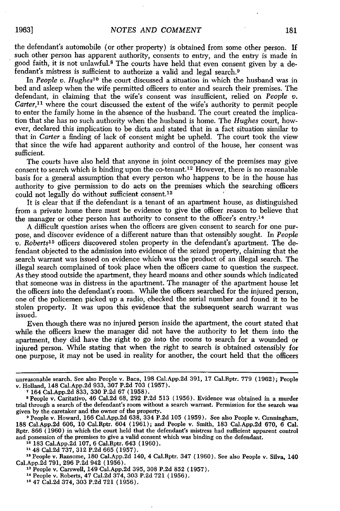1963]

the defendant's automobile (or other property) is obtained from some other person. If such other person has apparent authority, consents to entry, and the entry is made in good faith, it is not unlawful.8 The courts have held that even consent given by a defendant's mistress is sufficient to authorize a valid and legal search.<sup>9</sup>

In *People v. Hughes*<sup>10</sup> the court discussed a situation in which the husband was in bed and asleep when the wife permitted officers to enter and search their premises. The defendant, in claiming that the wife's consent was insufficient, relied on *People v. Carter*,<sup>11</sup> where the court discussed the extent of the wife's authority to permit people to enter the family home in the absence of the husband. The court created the implication that she has no such authority when the husband is home. The *Hughes* court, however, declared this implication to be dicta and stated that in a fact situation similar to that in *Carter* a finding of lack of consent might be upheld. The court took the view that since the wife had apparent authority and control of the house, her consent was sufficient.

The courts have also held that anyone in joint occupancy of the premises may give consent to search which is binding upon the co-tenant.<sup>12</sup> However, there is no reasonable basis for a general assumption that every person who happens to be in the house has authority to give permission to do acts on the premises which the searching officers<br>could not legally do without sufficient consent.<sup>13</sup> could not legally do without sufficient consent.<sup>13</sup>

It is clear that if the defendant is a tenant of an apartment house, as distinguished from a private home there must be evidence to give the officer reason to believe that the manager or other person has authority to consent to the officer's entry.<sup>14</sup>

A difficult question arises when the officers are given consent to search for one purpose, and discover evidence of a different nature than that ostensibly sought. In *People v. Roberts15* officers discovered stolen property in the defendant's apartment. The defendant objected to the admission into evidence of the seized property, claiming that the search warrant was issued on evidence which was the product of an illegal search. The illegal search complained of took place when the officers came to question the suspect. As they stood outside the apartment, they heard moans and other sounds which indicated that someone was in distress in the apartment. The manager of the apartment house let the officers into the defendant's room. While the officers searched for the injured person, one of the policemen picked up a radio, checked the serial number and found it to be stolen property. It was upon this evidence that the subsequent search warrant was issued.

Even though there was no injured person inside the apartment, the court stated that while the officers knew the manager did not have the authority to let them into the apartment, they did have the right to go into the rooms to search for a wounded or injured person. While stating that when the right to search is obtained ostensibly for one purpose, it may not be used in reality for another, the court held that the officers

**<sup>15</sup>**People v. Ransome, 180 Cal.App.2d 140, 4 Cal.Rptr. 347 (1960). See also People v. Silva, 140 Cal.App.2d 791, 296 P.2d 942 (1956). **<sup>13</sup>**People v. Carswell, 149 Cal.App.2d 395, 308 P.2d 852 (1957).

unreasonable search. See also People v. Baca, 198 Cal.App.2d 391, 17 Cal.Rptr. 779 (1962); People v. Holland, 148 Cal.App.2d 933, 307 P.2d 703 (1957). **<sup>7</sup>**164 Cal.App.2d 833, 330 P.2d 67 (1958).

**<sup>8</sup>** People v. Caritativo, 46 Cal.2d 68, 292 P.2d 513 (1956). Evidence was obtained in a murder trial through a search of the defendant's room without a search warrant. Permission for the search was given by the caretaker and the owner of the property.

**<sup>9</sup>** People v. Howard, 166 Cal.App.2d 638, 334 P.2d 105 (1959). See also People v. Cunningham, 188 Cal.App.2d 606, 10 Cal.Rptr. 604 (1961); and People v. Smith, 183 Cal.App.2d 670, 6 Cal. Rptr. 866 (1960) in which the court held that the defendant's mistress had sufficient apparent control and possession of the premises to give a valid consent which was binding on the defendant. **<sup>10</sup>**183 Cal.App.2d 107, 6 Cal.Rptr. 643 (1960).

**<sup>1148</sup>** Cal.2d 737, 312 P.2d 665 (1957).

**<sup>14</sup>**People v. Roberts, 47 Cal.2d 374, 303 P.2d 721 (1956).

**<sup>15</sup>** 47 Cal.2d 374, 303 P.2d 721 (1956).